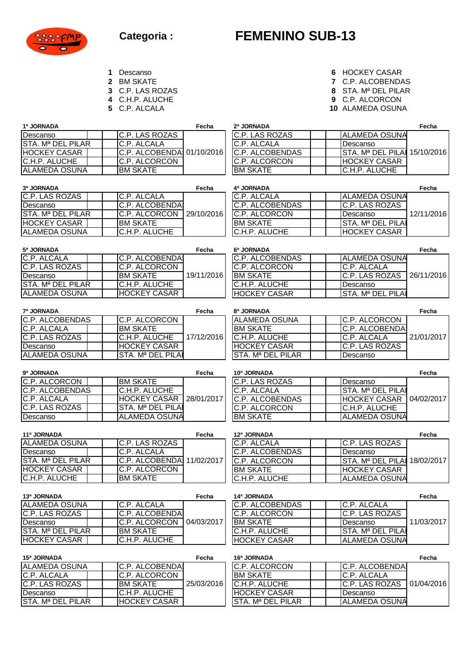

## **FEMENINO SUB-13**

- 
- 
- 
- 
- 
- **1** Descanso **6** HOCKEY CASAR<br> **2** BM SKATE **6 6** HOCKEY CASAR<br> **2** BM SKATE **6 6 6** HOCKEY CASAR
- **2** BM SKATE **7** C.P. ALCOBENDAS<br> **3** C.P. LAS ROZAS **8** STA. M<sup>a</sup> DEL PILAR
- **3** C.P. LAS ROZAS **8** STA. Mª DEL PILAR
	-
- **4** C.H.P. ALUCHE **9** C.P. ALCORCON **10** ALAMEDA OSUNA

| 1ª JORNADA                    |                            | Fecha      | 2ª JORNADA          |                               | Fecha      |
|-------------------------------|----------------------------|------------|---------------------|-------------------------------|------------|
| Descanso                      | C.P. LAS ROZAS             |            | C.P. LAS ROZAS      | <b>ALAMEDA OSUNA</b>          |            |
| STA. Mª DEL PILAR             | C.P. ALCALA                |            | C.P. ALCALA         | Descanso                      |            |
| HOCKEY CASAR                  | C.P. ALCOBENDA:            | 01/10/2016 | C.P. ALCOBENDAS     | STA. M <sup>a</sup> DEL PILAI | 15/10/2016 |
| C.H.P. ALUCHE                 | C.P. ALCORCON              |            | C.P. ALCORCON       | <b>HOCKEY CASAR</b>           |            |
| ALAMEDA OSUNA                 | <b>BM SKATE</b>            |            | <b>BM SKATE</b>     | C.H.P. ALUCHE                 |            |
|                               |                            |            |                     |                               |            |
| 3ª JORNADA                    |                            | Fecha      | 4ª JORNADA          |                               | Fecha      |
| C.P. LAS ROZAS                | C.P. ALCALA                |            | C.P. ALCALA         | ALAMEDA OSUNA                 |            |
| Descanso                      | C.P. ALCOBENDA             |            | C.P. ALCOBENDAS     | C.P. LAS ROZAS                |            |
| STA. Mª DEL PILAR             | C.P. ALCORCON              | 29/10/2016 | C.P. ALCORCON       | Descanso                      | 12/11/2016 |
| HOCKEY CASAR                  | <b>BM SKATE</b>            |            | <b>BM SKATE</b>     | STA. Mª DEL PILAI             |            |
| ALAMEDA OSUNA                 | C.H.P. ALUCHE              |            | C.H.P. ALUCHE       | <b>HOCKEY CASAR</b>           |            |
|                               |                            |            |                     |                               |            |
| 5ª JORNADA                    |                            | Fecha      | 6ª JORNADA          |                               | Fecha      |
| C.P. ALCALA                   | C.P. ALCOBENDA             |            | C.P. ALCOBENDAS     | <b>ALAMEDA OSUNA</b>          |            |
| C.P. LAS ROZAS                | <b>C.P. ALCORCON</b>       |            | C.P. ALCORCON       | C.P. ALCALA                   |            |
| Descanso                      | <b>BM SKATE</b>            | 19/11/2016 | <b>BM SKATE</b>     | C.P. LAS ROZAS                | 26/11/2016 |
| <b>STA. Mª DEL PILAR</b>      | C.H.P. ALUCHE              |            | C.H.P. ALUCHE       | Descanso                      |            |
| ALAMEDA OSUNA                 | <b>HOCKEY CASAR</b>        |            | <b>HOCKEY CASAR</b> | STA. Mª DEL PILAI             |            |
|                               |                            |            |                     |                               |            |
| 7ª JORNADA                    |                            | Fecha      | 8ª JORNADA          |                               | Fecha      |
| C.P. ALCOBENDAS               | C.P. ALCORCON              |            | ALAMEDA OSUNA       | C.P. ALCORCON                 |            |
| C.P. ALCALA                   | <b>BM SKATE</b>            |            | <b>BM SKATE</b>     | C.P. ALCOBENDA                |            |
| <b>C.P. LAS ROZAS</b>         | C.H.P. ALUCHE              | 17/12/2016 | C.H.P. ALUCHE       | C.P. ALCALA                   | 21/01/2017 |
| Descanso                      | <b>HOCKEY CASAR</b>        |            | <b>HOCKEY CASAR</b> | C.P. LAS ROZAS                |            |
| <b>ALAMEDA OSUNA</b>          | STA. Mª DEL PILA           |            | STA. Mª DEL PILAR   | Descanso                      |            |
| 9ª JORNADA                    |                            | Fecha      | 10ª JORNADA         |                               | Fecha      |
| C.P. ALCORCON                 | <b>BM SKATE</b>            |            | C.P. LAS ROZAS      | Descanso                      |            |
| C.P. ALCOBENDAS               | C.H.P. ALUCHE              |            | C.P. ALCALA         | STA. Mª DEL PILAI             |            |
| <b>C.P. ALCALA</b>            | <b>HOCKEY CASAR</b>        | 28/01/2017 | C.P. ALCOBENDAS     | <b>HOCKEY CASAR</b>           | 04/02/2017 |
| <b>C.P. LAS ROZAS</b>         | STA. Mª DEL PILAI          |            | C.P. ALCORCON       | C.H.P. ALUCHE                 |            |
| Descanso                      | <b>ALAMEDA OSUNA</b>       |            | <b>BM SKATE</b>     | <b>ALAMEDA OSUNA</b>          |            |
|                               |                            |            |                     |                               |            |
| 11ª JORNADA                   |                            | Fecha      | 12ª JORNADA         |                               | Fecha      |
| <b>ALAMEDA OSUNA</b>          | C.P. LAS ROZAS             |            | C.P. ALCALA         | C.P. LAS ROZAS                |            |
| Descanso                      | C.P. ALCALA                |            | C.P. ALCOBENDAS     | Descanso                      |            |
| STA. Mª DEL PILAR             | C.P. ALCOBENDA: 11/02/2017 |            | C.P. ALCORCON       | STA. Mª DEL PILAI 18/02/2017  |            |
| HOCKEY CASAR                  | C.P. ALCORCON              |            | <b>BM SKATE</b>     | <b>HOCKEY CASAR</b>           |            |
| C.H.P. ALUCHE                 | <b>BM SKATE</b>            |            | C.H.P. ALUCHE       | <b>ALAMEDA OSUNA</b>          |            |
|                               |                            |            |                     |                               |            |
| 13ª JORNADA                   |                            | Fecha      | 14ª JORNADA         |                               | Fecha      |
| ALAMEDA OSUNA                 | C.P. ALCALA                |            | C.P. ALCOBENDAS     | C.P. ALCALA                   |            |
| C.P. LAS ROZAS                | C.P. ALCOBENDA             |            | C.P. ALCORCON       | C.P. LAS ROZAS                |            |
| Descanso                      | C.P. ALCORCON              | 04/03/2017 | <b>BM SKATE</b>     | Descanso                      | 11/03/2017 |
| STA. M <sup>a</sup> DEL PILAR | <b>BM SKATE</b>            |            | C.H.P. ALUCHE       | STA. M <sup>a</sup> DEL PILAI |            |
| HOCKEY CASAR                  | C.H.P. ALUCHE              |            | <b>HOCKEY CASAR</b> | ALAMEDA OSUNA                 |            |
|                               |                            |            |                     |                               |            |
| 15ª JORNADA                   |                            | Fecha      | 16ª JORNADA         |                               | Fecha      |
| ALAMEDA OSUNA                 | C.P. ALCOBENDA             |            | C.P. ALCORCON       | C.P. ALCOBENDA                |            |
| C.P. ALCALA                   | C.P. ALCORCON              |            | <b>BM SKATE</b>     | C.P. ALCALA                   |            |
| C.P. LAS ROZAS                | <b>BM SKATE</b>            | 25/03/2016 | C.H.P. ALUCHE       | C.P. LAS ROZAS                | 01/04/2016 |
| Descanso                      | C.H.P. ALUCHE              |            | <b>HOCKEY CASAR</b> | Descanso                      |            |
| STA. Mª DEL PILAR             | HOCKEY CASAR               |            | STA. Mª DEL PILAR   | <b>ALAMEDA OSUNA</b>          |            |